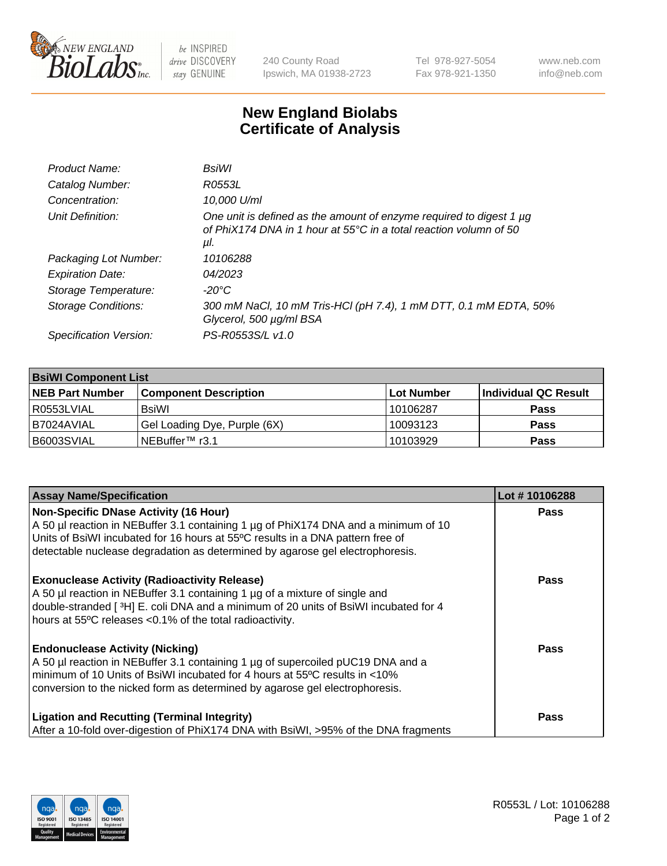

 $be$  INSPIRED drive DISCOVERY stay GENUINE

240 County Road Ipswich, MA 01938-2723 Tel 978-927-5054 Fax 978-921-1350 www.neb.com info@neb.com

## **New England Biolabs Certificate of Analysis**

| Product Name:              | BsiWl                                                                                                                                                     |
|----------------------------|-----------------------------------------------------------------------------------------------------------------------------------------------------------|
| Catalog Number:            | R0553L                                                                                                                                                    |
| Concentration:             | 10,000 U/ml                                                                                                                                               |
| Unit Definition:           | One unit is defined as the amount of enzyme required to digest 1 µg<br>of PhiX174 DNA in 1 hour at $55^{\circ}$ C in a total reaction volumn of 50<br>μl. |
| Packaging Lot Number:      | 10106288                                                                                                                                                  |
| <b>Expiration Date:</b>    | 04/2023                                                                                                                                                   |
| Storage Temperature:       | $-20^{\circ}$ C                                                                                                                                           |
| <b>Storage Conditions:</b> | 300 mM NaCl, 10 mM Tris-HCl (pH 7.4), 1 mM DTT, 0.1 mM EDTA, 50%<br>Glycerol, 500 µg/ml BSA                                                               |
| Specification Version:     | PS-R0553S/L v1.0                                                                                                                                          |

| <b>BsiWI Component List</b> |                              |             |                      |  |
|-----------------------------|------------------------------|-------------|----------------------|--|
| <b>NEB Part Number</b>      | <b>Component Description</b> | ∣Lot Number | Individual QC Result |  |
| R0553LVIAL                  | BsiWl                        | 10106287    | <b>Pass</b>          |  |
| B7024AVIAL                  | Gel Loading Dye, Purple (6X) | 10093123    | <b>Pass</b>          |  |
| B6003SVIAL                  | INEBuffer™ r3.1              | 10103929    | <b>Pass</b>          |  |

| <b>Assay Name/Specification</b>                                                                                                                                                                                                                                                                        | Lot #10106288 |
|--------------------------------------------------------------------------------------------------------------------------------------------------------------------------------------------------------------------------------------------------------------------------------------------------------|---------------|
| <b>Non-Specific DNase Activity (16 Hour)</b><br>A 50 µl reaction in NEBuffer 3.1 containing 1 µg of PhiX174 DNA and a minimum of 10<br>Units of BsiWI incubated for 16 hours at 55°C results in a DNA pattern free of<br>detectable nuclease degradation as determined by agarose gel electrophoresis. | <b>Pass</b>   |
| <b>Exonuclease Activity (Radioactivity Release)</b><br>A 50 µl reaction in NEBuffer 3.1 containing 1 µg of a mixture of single and<br>double-stranded [ $3H$ ] E. coli DNA and a minimum of 20 units of BsiWI incubated for 4<br>hours at 55°C releases <0.1% of the total radioactivity.              | <b>Pass</b>   |
| <b>Endonuclease Activity (Nicking)</b><br>A 50 µl reaction in NEBuffer 3.1 containing 1 µg of supercoiled pUC19 DNA and a<br>minimum of 10 Units of BsiWI incubated for 4 hours at 55°C results in <10%<br>conversion to the nicked form as determined by agarose gel electrophoresis.                 | <b>Pass</b>   |
| <b>Ligation and Recutting (Terminal Integrity)</b><br>After a 10-fold over-digestion of PhiX174 DNA with BsiWI, >95% of the DNA fragments                                                                                                                                                              | Pass          |